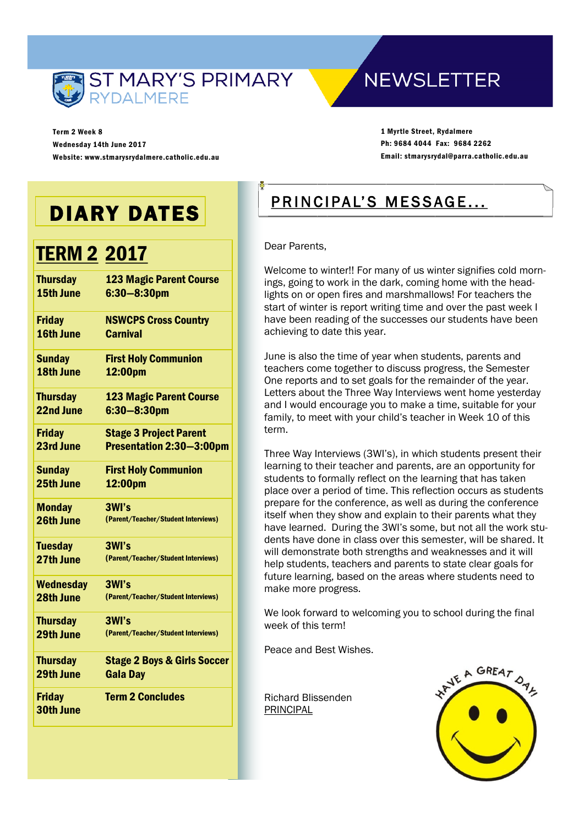

Term 2 Week 8 Wednesday 14th June 2017 Website: www.stmarysrydalmere.catholic.edu.au

## **NEWSLETTER**

1 Myrtle Street, Rydalmere Ph: 9684 4044 Fax: 9684 2262 Email: stmarysrydal@parra.catholic.edu.au

# DIARY DATES

## **TERM 2 2017**

| <b>Thursday</b>            | <b>123 Magic Parent Course</b>         |
|----------------------------|----------------------------------------|
| 15th June                  | $6:30 - 8:30$ pm                       |
| <b>Friday</b>              | <b>NSWCPS Cross Country</b>            |
| 16th June                  | <b>Carnival</b>                        |
| <b>Sunday</b>              | <b>First Holy Communion</b>            |
| 18th June                  | 12:00pm                                |
| <b>Thursday</b>            | <b>123 Magic Parent Course</b>         |
| 22nd June                  | $6:30 - 8:30$ pm                       |
| <b>Friday</b>              | <b>Stage 3 Project Parent</b>          |
| 23rd June                  | Presentation 2:30-3:00pm               |
| <b>Sunday</b>              | <b>First Holy Communion</b>            |
| 25th June                  | 12:00pm                                |
| <b>Monday</b>              | 3WI's                                  |
| 26th June                  | (Parent/Teacher/Student Interviews)    |
| <b>Tuesday</b>             | 3WI's                                  |
| 27th June                  | (Parent/Teacher/Student Interviews)    |
| <b>Wednesday</b>           | 3WI's                                  |
| 28th June                  | (Parent/Teacher/Student Interviews)    |
| <b>Thursday</b>            | 3WI's                                  |
| 29th June                  | (Parent/Teacher/Student Interviews)    |
| <b>Thursday</b>            | <b>Stage 2 Boys &amp; Girls Soccer</b> |
| 29th June                  | <b>Gala Day</b>                        |
| <b>Friday</b><br>30th June | <b>Term 2 Concludes</b>                |

### PRINCIPAL'S MESSAGE...

Dear Parents,

Welcome to winter!! For many of us winter signifies cold mornings, going to work in the dark, coming home with the headlights on or open fires and marshmallows! For teachers the start of winter is report writing time and over the past week I have been reading of the successes our students have been achieving to date this year.

June is also the time of year when students, parents and teachers come together to discuss progress, the Semester One reports and to set goals for the remainder of the year. Letters about the Three Way Interviews went home yesterday and I would encourage you to make a time, suitable for your family, to meet with your child's teacher in Week 10 of this term.

Three Way Interviews (3WI's), in which students present their learning to their teacher and parents, are an opportunity for students to formally reflect on the learning that has taken place over a period of time. This reflection occurs as students prepare for the conference, as well as during the conference itself when they show and explain to their parents what they have learned. During the 3WI's some, but not all the work students have done in class over this semester, will be shared. It will demonstrate both strengths and weaknesses and it will help students, teachers and parents to state clear goals for future learning, based on the areas where students need to make more progress.

We look forward to welcoming you to school during the final week of this term!

Peace and Best Wishes.

Richard Blissenden PRINCIPAL

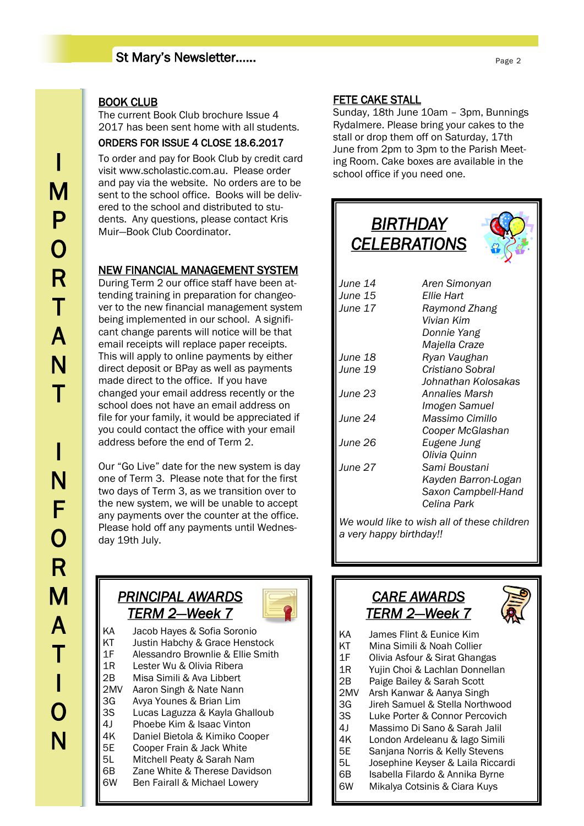#### St Mary's Newsletter……

#### BOOK CLUB

The current Book Club brochure Issue 4 2017 has been sent home with all students.

#### ORDERS FOR ISSUE 4 CLOSE 18.6.2017

To order and pay for Book Club by credit card visit www.scholastic.com.au. Please order and pay via the website. No orders are to be sent to the school office. Books will be delivered to the school and distributed to students. Any questions, please contact Kris Muir—Book Club Coordinator.

#### NEW FINANCIAL MANAGEMENT SYSTEM

During Term 2 our office staff have been attending training in preparation for changeover to the new financial management system being implemented in our school. A significant change parents will notice will be that email receipts will replace paper receipts. This will apply to online payments by either direct deposit or BPay as well as payments made direct to the office. If you have changed your email address recently or the school does not have an email address on file for your family, it would be appreciated if you could contact the office with your email address before the end of Term 2.

Our "Go Live" date for the new system is day one of Term 3. Please note that for the first two days of Term 3, as we transition over to the new system, we will be unable to accept any payments over the counter at the office. Please hold off any payments until Wednesday 19th July.

### *PRINCIPAL AWARDS TERM 2—Week 7*



- KA Jacob Hayes & Sofia Soronio KT Justin Habchy & Grace Henstock 1F Alessandro Brownlie & Ellie Smith 1R Lester Wu & Olivia Ribera 2B Misa Simili & Ava Libbert 2MV Aaron Singh & Nate Nann 3G Avya Younes & Brian Lim 3S Lucas Laguzza & Kayla Ghalloub 4J Phoebe Kim & Isaac Vinton 4K Daniel Bietola & Kimiko Cooper<br>5E Cooper Frain & Jack White Cooper Frain & Jack White 5L Mitchell Peaty & Sarah Nam 6B Zane White & Therese Davidson
- 6W Ben Fairall & Michael Lowery

#### FETE CAKE STALL

Sunday, 18th June 10am – 3pm, Bunnings Rydalmere. Please bring your cakes to the stall or drop them off on Saturday, 17th June from 2pm to 3pm to the Parish Meeting Room. Cake boxes are available in the school office if you need one.



- 3S Luke Porter & Connor Percovich
- 4J Massimo Di Sano & Sarah Jalil
- 4K London Ardeleanu & Iago Simili
- 5E Sanjana Norris & Kelly Stevens
- 5L Josephine Keyser & Laila Riccardi
- 6B Isabella Filardo & Annika Byrne
- 6W Mikalya Cotsinis & Ciara Kuys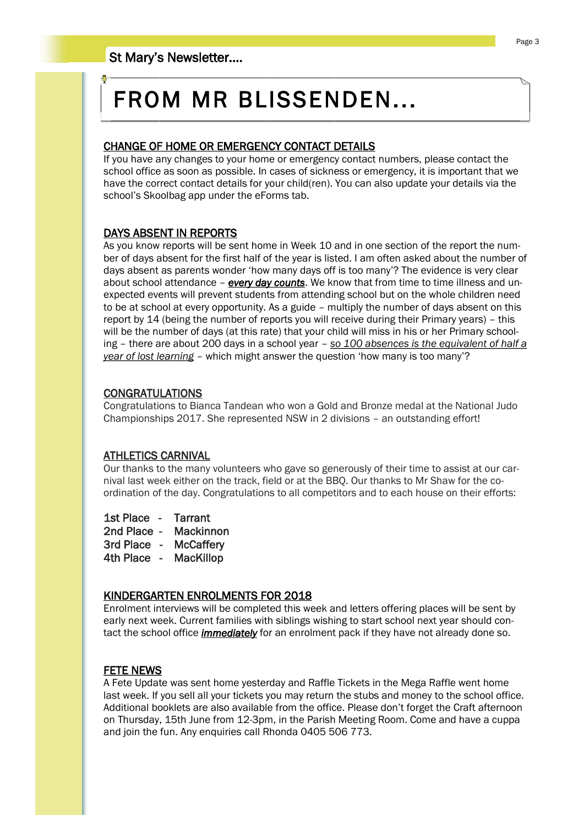# FROM MR BLISSENDEN...

#### CHANGE OF HOME OR EMERGENCY CONTACT DETAILS

If you have any changes to your home or emergency contact numbers, please contact the school office as soon as possible. In cases of sickness or emergency, it is important that we have the correct contact details for your child(ren). You can also update your details via the school's Skoolbag app under the eForms tab.

#### DAYS ABSENT IN REPORTS

As you know reports will be sent home in Week 10 and in one section of the report the number of days absent for the first half of the year is listed. I am often asked about the number of days absent as parents wonder 'how many days off is too many'? The evidence is very clear about school attendance – *every day counts*. We know that from time to time illness and unexpected events will prevent students from attending school but on the whole children need to be at school at every opportunity. As a guide – multiply the number of days absent on this report by 14 (being the number of reports you will receive during their Primary years) – this will be the number of days (at this rate) that your child will miss in his or her Primary schooling – there are about 200 days in a school year – *so 100 absences is the equivalent of half a year of lost learning* – which might answer the question 'how many is too many'?

#### CONGRATULATIONS

Congratulations to Bianca Tandean who won a Gold and Bronze medal at the National Judo Championships 2017. She represented NSW in 2 divisions – an outstanding effort!

#### ATHLETICS CARNIVAL

Our thanks to the many volunteers who gave so generously of their time to assist at our carnival last week either on the track, field or at the BBQ. Our thanks to Mr Shaw for the coordination of the day. Congratulations to all competitors and to each house on their efforts:

1st Place - Tarrant

2nd Place - Mackinnon

3rd Place - McCaffery

4th Place - MacKillop

#### KINDERGARTEN ENROLMENTS FOR 2018

Enrolment interviews will be completed this week and letters offering places will be sent by early next week. Current families with siblings wishing to start school next year should contact the school office *immediately* for an enrolment pack if they have not already done so.

#### FETE NEWS

A Fete Update was sent home yesterday and Raffle Tickets in the Mega Raffle went home last week. If you sell all your tickets you may return the stubs and money to the school office. Additional booklets are also available from the office. Please don't forget the Craft afternoon on Thursday, 15th June from 12-3pm, in the Parish Meeting Room. Come and have a cuppa and join the fun. Any enquiries call Rhonda 0405 506 773.